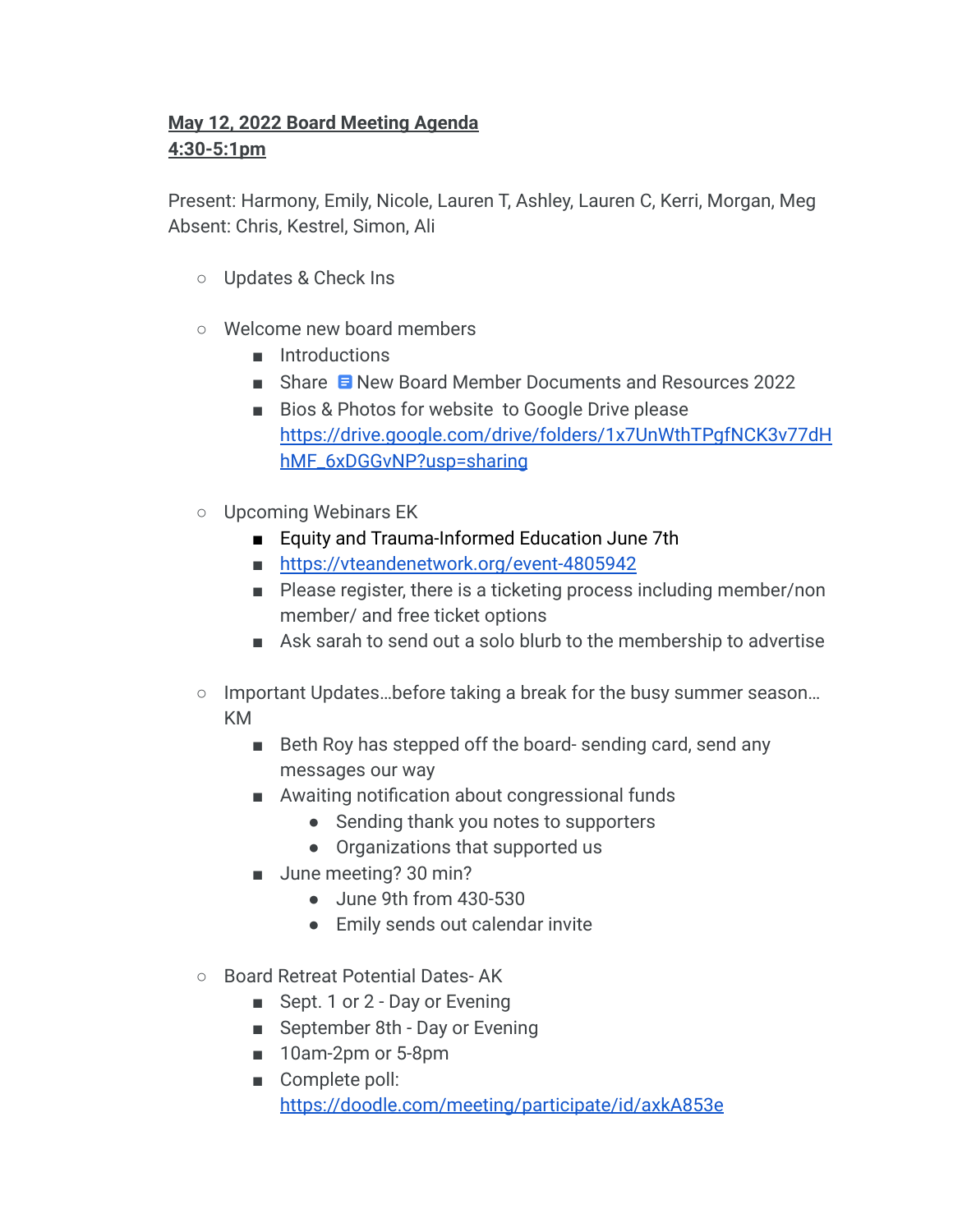## **May 12, 2022 Board Meeting Agenda 4:30-5:1pm**

Present: Harmony, Emily, Nicole, Lauren T, Ashley, Lauren C, Kerri, Morgan, Meg Absent: Chris, Kestrel, Simon, Ali

- Updates & Check Ins
- Welcome new board members
	- Introductions
	- Share [New Board Member Documents and Resources 2022](https://docs.google.com/document/d/1v8JWUY33ftg8R23Z1VKt6zO6NLUB4wsfynnyMSnFceI/edit?usp=sharing)
	- Bios & Photos for website to Google Drive please [https://drive.google.com/drive/folders/1x7UnWthTPgfNCK3v77dH](https://drive.google.com/drive/folders/1x7UnWthTPgfNCK3v77dHhMF_6xDGGvNP?usp=sharing) [hMF\\_6xDGGvNP?usp=sharing](https://drive.google.com/drive/folders/1x7UnWthTPgfNCK3v77dHhMF_6xDGGvNP?usp=sharing)
- Upcoming Webinars EK
	- Equity and Trauma-Informed Education June 7th
	- <https://vteandenetwork.org/event-4805942>
	- Please register, there is a ticketing process including member/non member/ and free ticket options
	- Ask sarah to send out a solo blurb to the membership to advertise
- Important Updates...before taking a break for the busy summer season... KM
	- Beth Roy has stepped off the board- sending card, send any messages our way
	- Awaiting notification about congressional funds
		- Sending thank you notes to supporters
		- Organizations that supported us
	- June meeting? 30 min?
		- June 9th from 430-530
		- Emily sends out calendar invite
- Board Retreat Potential Dates-AK
	- Sept. 1 or 2 Day or Evening
	- September 8th Day or Evening
	- 10am-2pm or 5-8pm
	- Complete poll: <https://doodle.com/meeting/participate/id/axkA853e>